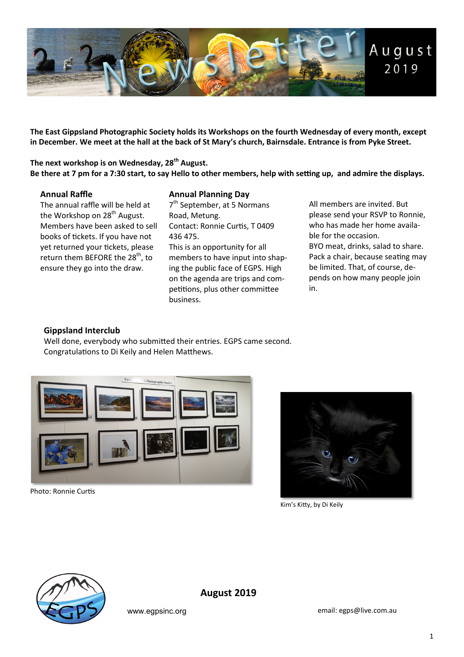

**The East Gippsland Photographic Society holds its Workshops on the fourth Wednesday of every month, except in December. We meet at the hall at the back of St Mary's church, Bairnsdale. Entrance is from Pyke Street.** 

**The next workshop is on Wednesday, 28th August. Be there at 7 pm for a 7:30 start, to say Hello to other members, help with setting up, and admire the displays.** 

#### **Annual Raffle**

The annual raffle will be held at the Workshop on  $28<sup>th</sup>$  August. Members have been asked to sell books of tickets. If you have not yet returned your tickets, please return them BEFORE the 28<sup>th</sup>, to ensure they go into the draw.

#### **Annual Planning Day**

7<sup>th</sup> September, at 5 Normans Road, Metung. Contact: Ronnie Curtis, T 0409 436 475. This is an opportunity for all members to have input into shaping the public face of EGPS. High on the agenda are trips and competitions, plus other committee business.

All members are invited. But please send your RSVP to Ronnie, who has made her home available for the occasion. BYO meat, drinks, salad to share. Pack a chair, because seating may be limited. That, of course, depends on how many people join in.

#### **Gippsland Interclub**

Well done, everybody who submitted their entries. EGPS came second. Congratulations to Di Keily and Helen Matthews.



Photo: Ronnie Curtis



Kim's Kitty, by Di Keily



**August 2019**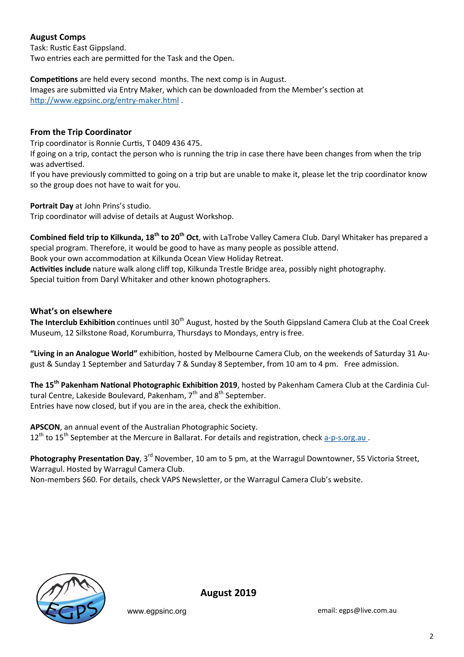# **August Comps**

Task: Rustic East Gippsland. Two entries each are permitted for the Task and the Open.

**Competitions** are held every second months. The next comp is in August.

Images are submitted via Entry Maker, which can be downloaded from the Member's section at [http://www.egpsinc.org/entry](http://www.egpsinc.org/entry-maker.html)-maker.html .

# **From the Trip Coordinator**

Trip coordinator is Ronnie Curtis, T 0409 436 475.

If going on a trip, contact the person who is running the trip in case there have been changes from when the trip was advertised.

If you have previously committed to going on a trip but are unable to make it, please let the trip coordinator know so the group does not have to wait for you.

**Portrait Day** at John Prins's studio.

Trip coordinator will advise of details at August Workshop.

**Combined field trip to Kilkunda, 18th to 20th Oct**, with LaTrobe Valley Camera Club. Daryl Whitaker has prepared a special program. Therefore, it would be good to have as many people as possible attend.

Book your own accommodation at Kilkunda Ocean View Holiday Retreat.

**Activities include** nature walk along cliff top, Kilkunda Trestle Bridge area, possibly night photography.

Special tuition from Daryl Whitaker and other known photographers.

# **What's on elsewhere**

The Interclub Exhibition continues until 30<sup>th</sup> August, hosted by the South Gippsland Camera Club at the Coal Creek Museum, 12 Silkstone Road, Korumburra, Thursdays to Mondays, entry is free.

**"Living in an Analogue World"** exhibition, hosted by Melbourne Camera Club, on the weekends of Saturday 31 August & Sunday 1 September and Saturday 7 & Sunday 8 September, from 10 am to 4 pm. Free admission.

**The 15th Pakenham National Photographic Exhibition 2019**, hosted by Pakenham Camera Club at the Cardinia Cultural Centre, Lakeside Boulevard, Pakenham,  $7<sup>th</sup>$  and  $8<sup>th</sup>$  September. Entries have now closed, but if you are in the area, check the exhibition.

**APSCON**, an annual event of the Australian Photographic Society.

12<sup>th</sup> to 15<sup>th</sup> September at the Mercure in Ballarat. For details and registration, check a-p-s.org.au.

**Photography Presentation Day**, 3rd November, 10 am to 5 pm, at the Warragul Downtowner, 55 Victoria Street, Warragul. Hosted by Warragul Camera Club.

Non-members \$60. For details, check VAPS Newsletter, or the Warragul Camera Club's website.



**August 2019**